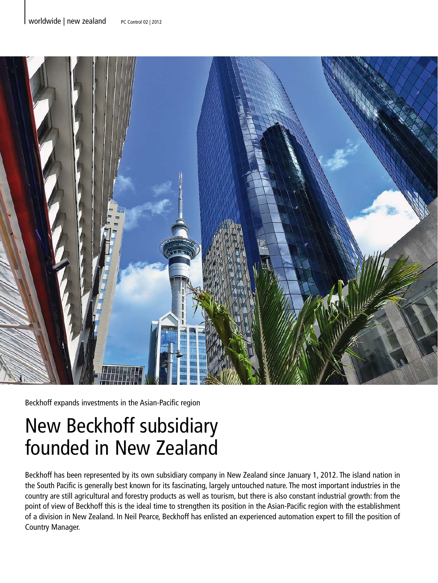

Beckhoff expands investments in the Asian-Pacific region

## New Beckhoff subsidiary founded in New Zealand

Beckhoff has been represented by its own subsidiary company in New Zealand since January 1, 2012. The island nation in the South Pacific is generally best known for its fascinating, largely untouched nature. The most important industries in the country are still agricultural and forestry products as well as tourism, but there is also constant industrial growth: from the point of view of Beckhoff this is the ideal time to strengthen its position in the Asian-Pacific region with the establishment of a division in New Zealand. In Neil Pearce, Beckhoff has enlisted an experienced automation expert to fill the position of Country Manager.